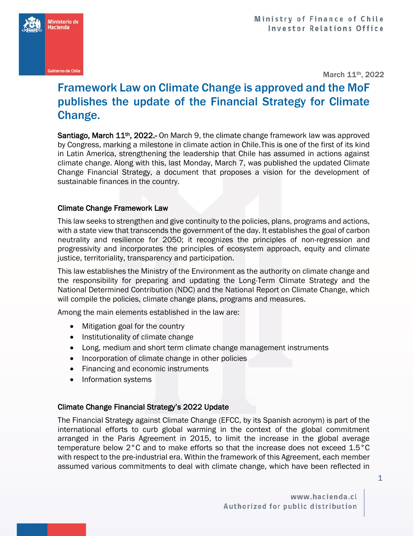

**Ministerio de** lacienda

March 11th, 2022

## Framework Law on Climate Change is approved and the MoF publishes the update of the Financial Strategy for Climate Change.

Santiago, March 11<sup>th</sup>, 2022.- On March 9, the climate change framework law was approved by Congress, marking a milestone in climate action in Chile.This is one of the first of its kind in Latin America, strengthening the leadership that Chile has assumed in actions against climate change. Along with this, last Monday, March 7, was published the updated Climate Change Financial Strategy, a document that proposes a vision for the development of sustainable finances in the country.

## Climate Change Framework Law

This law seeks to strengthen and give continuity to the policies, plans, programs and actions, with a state view that transcends the government of the day. It establishes the goal of carbon neutrality and resilience for 2050; it recognizes the principles of non-regression and progressivity and incorporates the principles of ecosystem approach, equity and climate justice, territoriality, transparency and participation.

This law establishes the Ministry of the Environment as the authority on climate change and the responsibility for preparing and updating the Long-Term Climate Strategy and the National Determined Contribution (NDC) and the National Report on Climate Change, which will compile the policies, climate change plans, programs and measures.

Among the main elements established in the law are:

- Mitigation goal for the country
- Institutionality of climate change
- Long, medium and short term climate change management instruments
- Incorporation of climate change in other policies
- Financing and economic instruments
- Information systems

## Climate Change Financial Strategy's 2022 Update

The Financial Strategy against Climate Change (EFCC, by its Spanish acronym) is part of the international efforts to curb global warming in the context of the global commitment arranged in the Paris Agreement in 2015, to limit the increase in the global average temperature below 2°C and to make efforts so that the increase does not exceed 1.5°C with respect to the pre-industrial era. Within the framework of this Agreement, each member assumed various commitments to deal with climate change, which have been reflected in